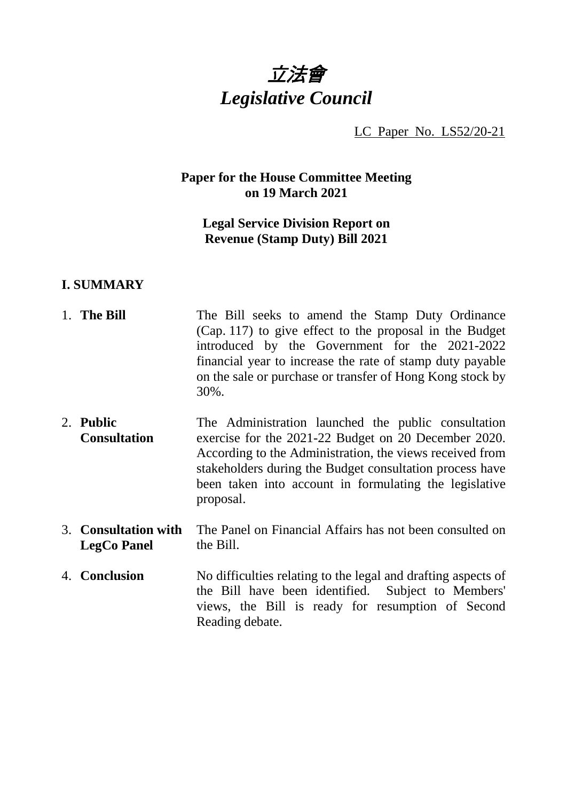# 立法會 *Legislative Council*

LC Paper No. LS52/20-21

# **Paper for the House Committee Meeting on 19 March 2021**

# **Legal Service Division Report on Revenue (Stamp Duty) Bill 2021**

### **I. SUMMARY**

- 1. **The Bill** The Bill seeks to amend the Stamp Duty Ordinance (Cap. 117) to give effect to the proposal in the Budget introduced by the Government for the 2021-2022 financial year to increase the rate of stamp duty payable on the sale or purchase or transfer of Hong Kong stock by 30%.
- 2. **Public Consultation** The Administration launched the public consultation exercise for the 2021-22 Budget on 20 December 2020. According to the Administration, the views received from stakeholders during the Budget consultation process have been taken into account in formulating the legislative proposal.
- 3. **Consultation with LegCo Panel** The Panel on Financial Affairs has not been consulted on the Bill.
- 4. **Conclusion** No difficulties relating to the legal and drafting aspects of the Bill have been identified. Subject to Members' views, the Bill is ready for resumption of Second Reading debate.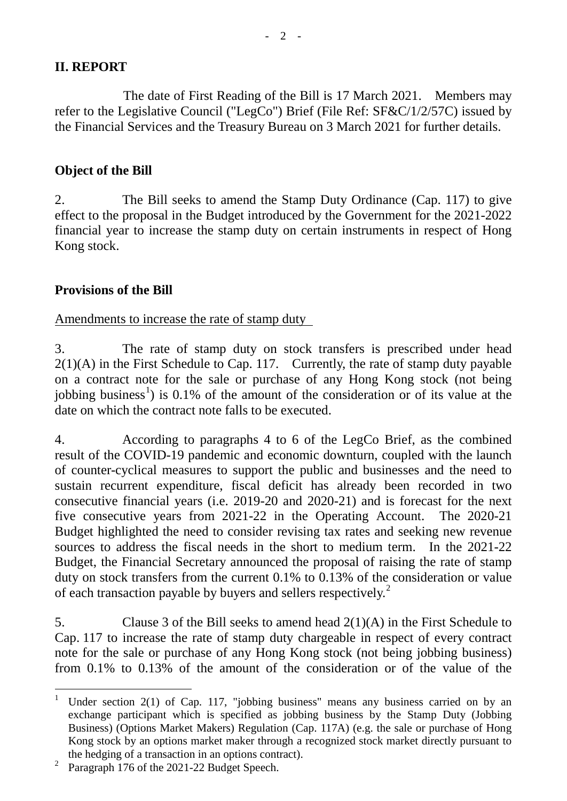The date of First Reading of the Bill is 17 March 2021. Members may refer to the Legislative Council ("LegCo") Brief (File Ref: SF&C/1/2/57C) issued by the Financial Services and the Treasury Bureau on 3 March 2021 for further details.

# **Object of the Bill**

2. The Bill seeks to amend the Stamp Duty Ordinance (Cap. 117) to give effect to the proposal in the Budget introduced by the Government for the 2021-2022 financial year to increase the stamp duty on certain instruments in respect of Hong Kong stock.

# **Provisions of the Bill**

Amendments to increase the rate of stamp duty

3. The rate of stamp duty on stock transfers is prescribed under head  $2(1)(A)$  in the First Schedule to Cap. 117. Currently, the rate of stamp duty payable on a contract note for the sale or purchase of any Hong Kong stock (not being jobbing business<sup>[1](#page-1-0)</sup>) is 0.1% of the amount of the consideration or of its value at the date on which the contract note falls to be executed.

4. According to paragraphs 4 to 6 of the LegCo Brief, as the combined result of the COVID-19 pandemic and economic downturn, coupled with the launch of counter-cyclical measures to support the public and businesses and the need to sustain recurrent expenditure, fiscal deficit has already been recorded in two consecutive financial years (i.e. 2019-20 and 2020-21) and is forecast for the next five consecutive years from 2021-22 in the Operating Account. The 2020-21 Budget highlighted the need to consider revising tax rates and seeking new revenue sources to address the fiscal needs in the short to medium term. In the 2021-22 Budget, the Financial Secretary announced the proposal of raising the rate of stamp duty on stock transfers from the current 0.1% to 0.13% of the consideration or value of each transaction payable by buyers and sellers respectively.<sup>[2](#page-1-1)</sup>

5. Clause 3 of the Bill seeks to amend head 2(1)(A) in the First Schedule to Cap. 117 to increase the rate of stamp duty chargeable in respect of every contract note for the sale or purchase of any Hong Kong stock (not being jobbing business) from 0.1% to 0.13% of the amount of the consideration or of the value of the

<span id="page-1-0"></span><sup>&</sup>lt;sup>1</sup> Under section 2(1) of Cap. 117, "jobbing business" means any business carried on by an exchange participant which is specified as jobbing business by the Stamp Duty (Jobbing Business) (Options Market Makers) Regulation (Cap. 117A) (e.g. the sale or purchase of Hong Kong stock by an options market maker through a recognized stock market directly pursuant to the hedging of a transaction in an options contract).

<span id="page-1-1"></span><sup>&</sup>lt;sup>2</sup> Paragraph 176 of the 2021-22 Budget Speech.